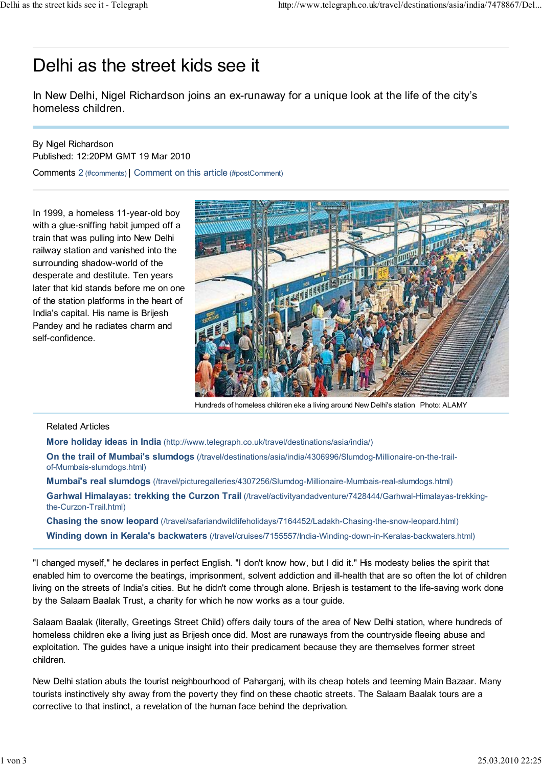## Delhi as the street kids see it

In New Delhi, Nigel Richardson joins an ex-runaway for a unique look at the life of the city's homeless children.

## By Nigel Richardson Published: 12:20PM GMT 19 Mar 2010

Comments 2 (#comments) | Comment on this article (#postComment)

In 1999, a homeless 11-year-old boy with a glue-sniffing habit jumped off a train that was pulling into New Delhi railway station and vanished into the surrounding shadow-world of the desperate and destitute. Ten years later that kid stands before me on one of the station platforms in the heart of India's capital. His name is Brijesh Pandey and he radiates charm and self-confidence.



Hundreds of homeless children eke a living around New Delhi's station Photo: ALAMY

## Related Articles

More holiday ideas in India (http://www.telegraph.co.uk/travel/destinations/asia/india/)

On the trail of Mumbai's slumdogs (/travel/destinations/asia/india/4306996/Slumdog-Millionaire-on-the-trailof-Mumbais-slumdogs.html)

Mumbai's real slumdogs (/travel/picturegalleries/4307256/Slumdog-Millionaire-Mumbais-real-slumdogs.html)

Garhwal Himalayas: trekking the Curzon Trail (/travel/activityandadventure/7428444/Garhwal-Himalayas-trekkingthe-Curzon-Trail.html)

Chasing the snow leopard (/travel/safariandwildlifeholidays/7164452/Ladakh-Chasing-the-snow-leopard.html) Winding down in Kerala's backwaters (/travel/cruises/7155557/India-Winding-down-in-Keralas-backwaters.html)

"I changed myself," he declares in perfect English. "I don't know how, but I did it." His modesty belies the spirit that enabled him to overcome the beatings, imprisonment, solvent addiction and ill-health that are so often the lot of children living on the streets of India's cities. But he didn't come through alone. Brijesh is testament to the life-saving work done by the Salaam Baalak Trust, a charity for which he now works as a tour guide.

Salaam Baalak (literally, Greetings Street Child) offers daily tours of the area of New Delhi station, where hundreds of homeless children eke a living just as Brijesh once did. Most are runaways from the countryside fleeing abuse and exploitation. The guides have a unique insight into their predicament because they are themselves former street children.

New Delhi station abuts the tourist neighbourhood of Paharganj, with its cheap hotels and teeming Main Bazaar. Many tourists instinctively shy away from the poverty they find on these chaotic streets. The Salaam Baalak tours are a corrective to that instinct, a revelation of the human face behind the deprivation.